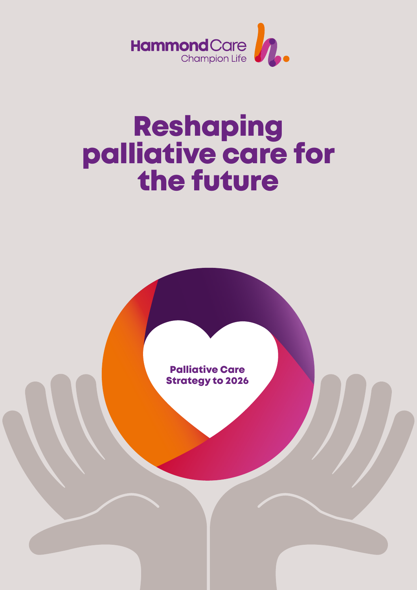

# Reshaping<br>palliative care for the future

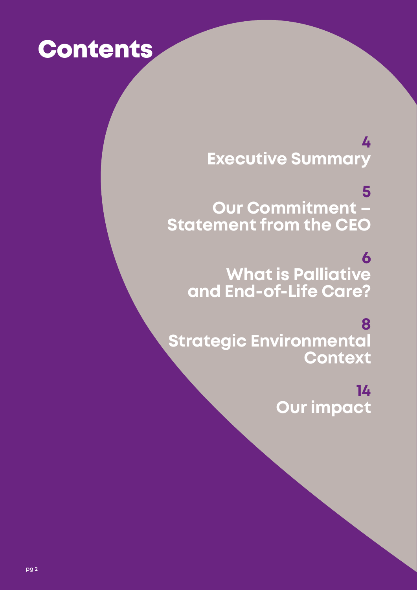# **Contents**

# **[4](#page-3-0) [Executive Summary](#page-3-0)**

**[5](#page-4-0) [Our Commitment –](#page-4-0) [Statement from the CEO](#page-4-0)**

**[6](#page-5-0) [What is Palliative](#page-5-0) [and End-of-Life Care?](#page-5-0)**

**[8](#page-7-0) [Strategic Environmental](#page-7-0) [Context](#page-7-0)**

> **[14](#page-13-0) [Our impact](#page-13-0)**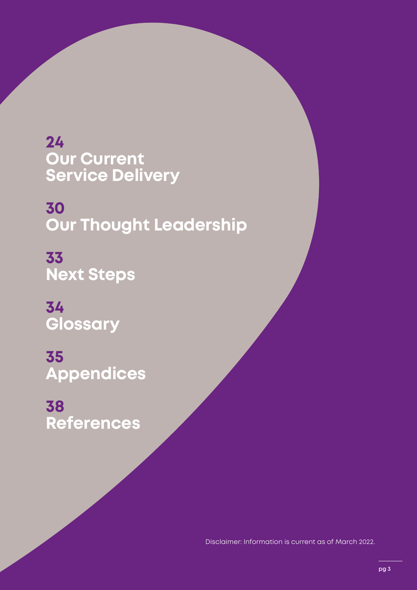**[24](#page-23-0) Our Current [Service Delivery](#page-23-0)**

**[30](#page-29-0) [Our Thought Leadership](#page-29-0)**

**[33](#page-32-0) [Next Steps](#page-32-0)** 

**[34](#page-33-0) [Glossary](#page-33-0)**

**[35](#page-34-0) [Appendices](#page-34-0)**

**[38](#page-37-0) [References](#page-37-0)**

Disclaimer: Information is current as of March 2022.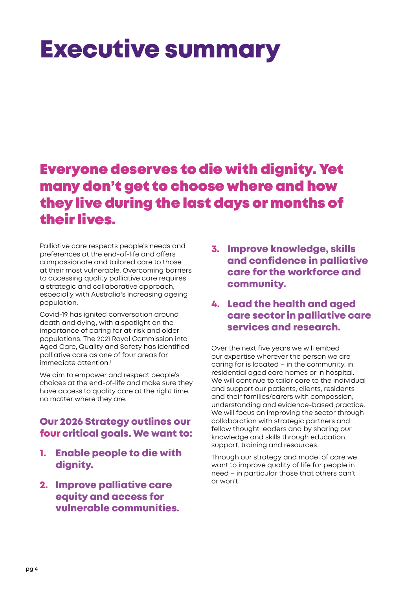# <span id="page-3-0"></span>Executive summary

# Everyone deserves to die with dignity. Yet many don't get to choose where and how they live during the last days or months of their lives.

Palliative care respects people's needs and preferences at the end-of-life and offers compassionate and tailored care to those at their most vulnerable. Overcoming barriers to accessing quality palliative care requires a strategic and collaborative approach, especially with Australia's increasing ageing population.

Covid-19 has ignited conversation around death and dying, with a spotlight on the importance of caring for at-risk and older populations. The 2021 Royal Commission into Aged Care, Quality and Safety has identified palliative care as one of four areas for immediate attention.<sup>1</sup>

We aim to empower and respect people's choices at the end-of-life and make sure they have access to quality care at the right time, no matter where they are.

## Our 2026 Strategy outlines our four critical goals. We want to:

- 1. Enable people to die with dignity.
- 2. Improve palliative care equity and access for vulnerable communities.

3. Improve knowledge, skills and confidence in palliative care for the workforce and community.

## 4. Lead the health and aged care sector in palliative care services and research.

Over the next five years we will embed our expertise wherever the person we are caring for is located – in the community, in residential aged care homes or in hospital. We will continue to tailor care to the individual and support our patients, clients, residents and their families/carers with compassion, understanding and evidence-based practice. We will focus on improving the sector through collaboration with strategic partners and fellow thought leaders and by sharing our knowledge and skills through education, support, training and resources.

Through our strategy and model of care we want to improve quality of life for people in need – in particular those that others can't or won't.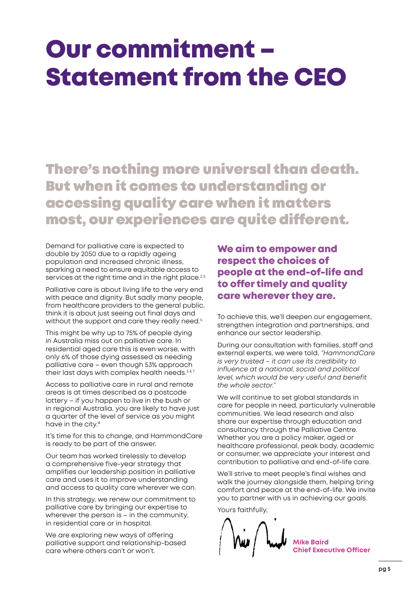# <span id="page-4-0"></span>Our commitment – Statement from the CEO

There's nothing more universal than death. But when it comes to understanding or accessing quality care when it matters most, our experiences are quite different.

Demand for palliative care is expected to double by 2050 due to a rapidly ageing population and increased chronic illness, sparking a need to ensure equitable access to services at the right time and in the right place.<sup>23</sup>

Palliative care is about living life to the very end with peace and dignity. But sadly many people, from healthcare providers to the general public, think it is about just seeing out final days and without the support and care they really need.<sup>4</sup>

This might be why up to 75% of people dying in Australia miss out on palliative care. In residential aged care this is even worse, with only 6% of those dying assessed as needing palliative care – even though 53% approach their last days with complex health needs.<sup>567</sup>

Access to palliative care in rural and remote areas is at times described as a postcode lottery – if you happen to live in the bush or in regional Australia, you are likely to have just a quarter of the level of service as you might have in the city.<sup>8</sup>

It's time for this to change, and HammondCare is ready to be part of the answer.

Our team has worked tirelessly to develop a comprehensive five-year strategy that amplifies our leadership position in palliative care and uses it to improve understanding and access to quality care wherever we can.

In this strategy, we renew our commitment to palliative care by bringing our expertise to wherever the person is – in the community, in residential care or in hospital.

We are exploring new ways of offering palliative support and relationship-based care where others can't or won't.

## We aim to empower and respect the choices of people at the end-of-life and to offer timely and quality care wherever they are.

To achieve this, we'll deepen our engagement, strengthen integration and partnerships, and enhance our sector leadership.

During our consultation with families, staff and external experts, we were told, *"HammondCare is very trusted – it can use its credibility to influence at a national, social and political level, which would be very useful and benefit the whole sector."*

We will continue to set global standards in care for people in need, particularly vulnerable communities. We lead research and also share our expertise through education and consultancy through the Palliative Centre. Whether you are a policy maker, aged or healthcare professional, peak body, academic or consumer, we appreciate your interest and contribution to palliative and end-of-life care.

We'll strive to meet people's final wishes and walk the journey alongside them, helping bring comfort and peace at the end-of-life. We invite you to partner with us in achieving our goals.

Yours faithfully,

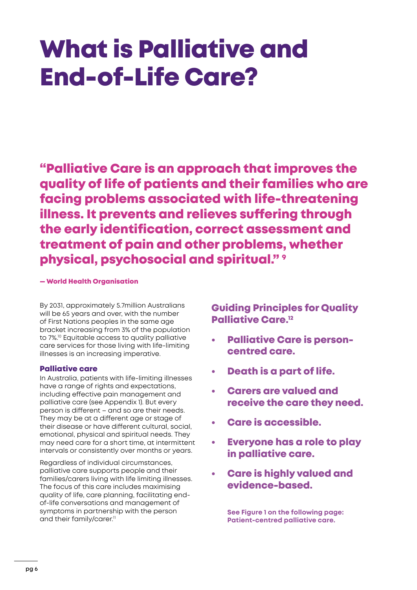# <span id="page-5-0"></span>What is Palliative and End-of-Life Care?

"Palliative Care is an approach that improves the quality of life of patients and their families who are facing problems associated with life-threatening illness. It prevents and relieves suffering through the early identification, correct assessment and treatment of pain and other problems, whether physical, psychosocial and spiritual." 9

#### — World Health Organisation

By 2031, approximately 5.7million Australians will be 65 years and over, with the number of First Nations peoples in the same age bracket increasing from 3% of the population to 7%.<sup>10</sup> Equitable access to quality palliative care services for those living with life-limiting illnesses is an increasing imperative.

#### Palliative care

In Australia, patients with life-limiting illnesses have a range of rights and expectations, including effective pain management and palliative care (see Appendix 1). But every person is different – and so are their needs. They may be at a different age or stage of their disease or have different cultural, social, emotional, physical and spiritual needs. They may need care for a short time, at intermittent intervals or consistently over months or years.

Regardless of individual circumstances, palliative care supports people and their families/carers living with life limiting illnesses. The focus of this care includes maximising quality of life, care planning, facilitating endof-life conversations and management of symptoms in partnership with the person and their family/carer.<sup>11</sup>

Guiding Principles for Quality Palliative Care.12

- Palliative Care is personcentred care.
- Death is a part of life.
- Carers are valued and receive the care they need.
- Care is accessible.
- Everyone has a role to play in palliative care.
- Care is highly valued and evidence-based.

**See Figure 1 on the following page: Patient-centred palliative care.**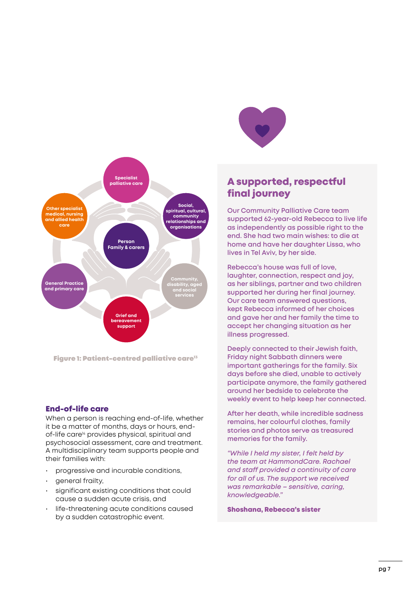

Figure 1: Patient-centred palliative care $13$ 

#### End-of-life care

When a person is reaching end-of-life, whether it be a matter of months, days or hours, endof-life care<sup>14</sup> provides physical, spiritual and psychosocial assessment, care and treatment. A multidisciplinary team supports people and their families with:

- progressive and incurable conditions,
- general frailty,
- significant existing conditions that could cause a sudden acute crisis, and
- life-threatening acute conditions caused by a sudden catastrophic event.



## A supported, respectful final journey

**Our Community Palliative Care team supported 62-year-old Rebecca to live life as independently as possible right to the end. She had two main wishes: to die at home and have her daughter Lissa, who lives in Tel Aviv, by her side.** 

**Rebecca's house was full of love, laughter, connection, respect and joy, as her siblings, partner and two children supported her during her final journey. Our care team answered questions, kept Rebecca informed of her choices and gave her and her family the time to accept her changing situation as her illness progressed.** 

**Deeply connected to their Jewish faith, Friday night Sabbath dinners were important gatherings for the family. Six days before she died, unable to actively participate anymore, the family gathered around her bedside to celebrate the weekly event to help keep her connected.** 

**After her death, while incredible sadness remains, her colourful clothes, family stories and photos serve as treasured memories for the family.** 

*"While I held my sister, I felt held by the team at HammondCare. Rachael and staff provided a continuity of care for all of us. The support we received was remarkable – sensitive, caring, knowledgeable."* 

#### Shoshana, Rebecca's sister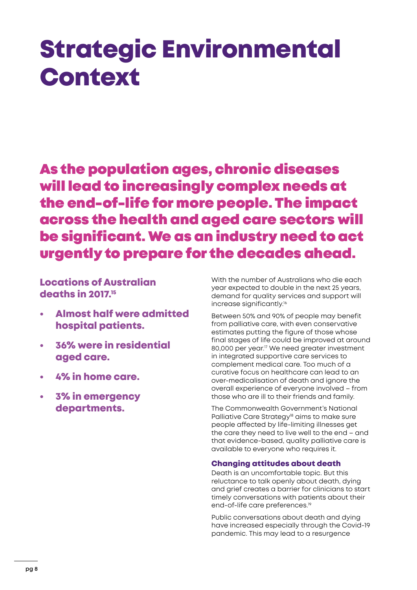# <span id="page-7-0"></span>Strategic Environmental Context

As the population ages, chronic diseases will lead to increasingly complex needs at the end-of-life for more people. The impact across the health and aged care sectors will be significant. We as an industry need to act urgently to prepare for the decades ahead.

Locations of Australian deaths in 2017.15

- Almost half were admitted hospital patients.
- 36% were in residential aged care.
- 4% in home care.
- 3% in emergency departments.

With the number of Australians who die each year expected to double in the next 25 years, demand for quality services and support will increase significantly.<sup>16</sup>

Between 50% and 90% of people may benefit from palliative care, with even conservative estimates putting the figure of those whose final stages of life could be improved at around 80,000 per year.<sup>17</sup> We need greater investment in integrated supportive care services to complement medical care. Too much of a curative focus on healthcare can lead to an over-medicalisation of death and ignore the overall experience of everyone involved – from those who are ill to their friends and family.

The Commonwealth Government's National Palliative Care Strategy<sup>18</sup> aims to make sure people affected by life-limiting illnesses get the care they need to live well to the end – and that evidence-based, quality palliative care is available to everyone who requires it.

#### Changing attitudes about death

Death is an uncomfortable topic. But this reluctance to talk openly about death, dying and grief creates a barrier for clinicians to start timely conversations with patients about their end-of-life care preferences.<sup>19</sup>

Public conversations about death and dying have increased especially through the Covid-19 pandemic. This may lead to a resurgence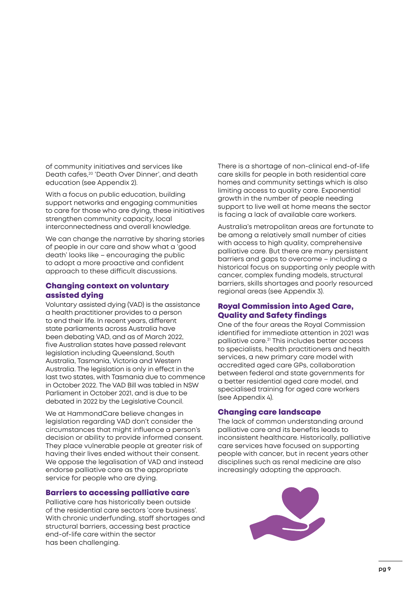of community initiatives and services like Death cafes,20 'Death Over Dinner', and death education (see Appendix 2).

With a focus on public education, building support networks and engaging communities to care for those who are dying, these initiatives strengthen community capacity, local interconnectedness and overall knowledge.

We can change the narrative by sharing stories of people in our care and show what a 'good death' looks like – encouraging the public to adopt a more proactive and confident approach to these difficult discussions.

#### Changing context on voluntary assisted dying

Voluntary assisted dying (VAD) is the assistance a health practitioner provides to a person to end their life. In recent years, different state parliaments across Australia have been debating VAD, and as of March 2022, five Australian states have passed relevant legislation including Queensland, South Australia, Tasmania, Victoria and Western Australia. The legislation is only in effect in the last two states, with Tasmania due to commence in October 2022. The VAD Bill was tabled in NSW Parliament in October 2021, and is due to be debated in 2022 by the Legislative Council.

We at HammondCare believe changes in legislation regarding VAD don't consider the circumstances that might influence a person's decision or ability to provide informed consent. They place vulnerable people at greater risk of having their lives ended without their consent. We oppose the legalisation of VAD and instead endorse palliative care as the appropriate service for people who are dying.

#### Barriers to accessing palliative care

Palliative care has historically been outside of the residential care sectors 'core business'. With chronic underfunding, staff shortages and structural barriers, accessing best practice end-of-life care within the sector has been challenging.

There is a shortage of non-clinical end-of-life care skills for people in both residential care homes and community settings which is also limiting access to quality care. Exponential growth in the number of people needing support to live well at home means the sector is facing a lack of available care workers.

Australia's metropolitan areas are fortunate to be among a relatively small number of cities with access to high quality, comprehensive palliative care. But there are many persistent barriers and gaps to overcome – including a historical focus on supporting only people with cancer, complex funding models, structural barriers, skills shortages and poorly resourced regional areas (see Appendix 3).

#### Royal Commission into Aged Care, Quality and Safety findings

One of the four areas the Royal Commission identified for immediate attention in 2021 was palliative care.21 This includes better access to specialists, health practitioners and health services, a new primary care model with accredited aged care GPs, collaboration between federal and state governments for a better residential aged care model, and specialised training for aged care workers (see Appendix 4).

#### Changing care landscape

The lack of common understanding around palliative care and its benefits leads to inconsistent healthcare. Historically, palliative care services have focused on supporting people with cancer, but in recent years other disciplines such as renal medicine are also increasingly adopting the approach.

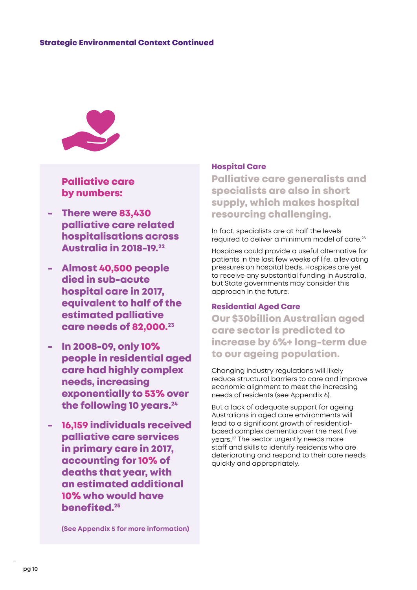

## Palliative care by numbers:

- There were 83,430 palliative care related hospitalisations across Australia in 2018-19.22
- Almost 40,500 people died in sub-acute hospital care in 2017, equivalent to half of the estimated palliative care needs of 82,000.<sup>23</sup>
- In 2008-09, only 10% people in residential aged care had highly complex needs, increasing exponentially to 53% over the following 10 years.<sup>24</sup>
- 16,159 individuals received palliative care services in primary care in 2017, accounting for 10% of deaths that year, with an estimated additional 10% who would have benefited.25

**(See Appendix 5 for more information)**

#### Hospital Care

Palliative care generalists and specialists are also in short supply, which makes hospital resourcing challenging.

In fact, specialists are at half the levels required to deliver a minimum model of care.<sup>26</sup>

Hospices could provide a useful alternative for patients in the last few weeks of life, alleviating pressures on hospital beds. Hospices are yet to receive any substantial funding in Australia, but State governments may consider this approach in the future.

#### Residential Aged Care

Our \$30billion Australian aged care sector is predicted to increase by 6%+ long-term due to our ageing population.

Changing industry regulations will likely reduce structural barriers to care and improve economic alignment to meet the increasing needs of residents (see Appendix 6).

But a lack of adequate support for ageing Australians in aged care environments will lead to a significant growth of residentialbased complex dementia over the next five years.27 The sector urgently needs more staff and skills to identify residents who are deteriorating and respond to their care needs quickly and appropriately.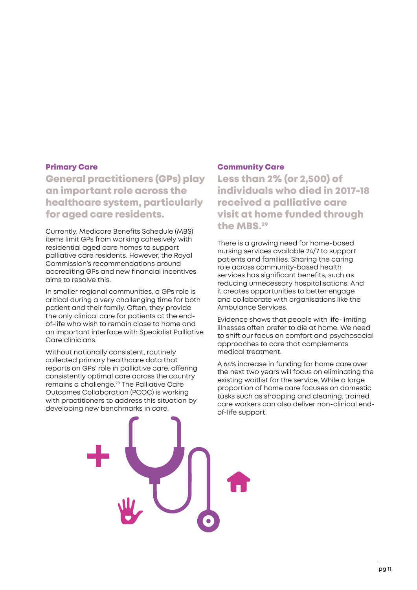#### Primary Care

[General practitioners](https://www.aihw.gov.au/reports-data/health-welfare-services/palliative-care-services/glossary/#1_gp) (GPs) play an important role across the healthcare system, particularly for aged care residents.

Currently, Medicare Benefits Schedule (MBS) items limit GPs from working cohesively with residential aged care homes to support palliative care residents. However, the Royal Commission's recommendations around accrediting GPs and new financial incentives aims to resolve this.

In smaller regional communities, a GPs role is critical during a very challenging time for both patient and their family. Often, they provide the only clinical care for patients at the endof-life who wish to remain close to home and an important interface with Specialist Palliative Care clinicians.

Without nationally consistent, routinely collected primary healthcare data that reports on GPs' role in palliative care, offering consistently optimal care across the country remains a challenge.28 The Palliative Care Outcomes Collaboration (PCOC) is working with practitioners to address this situation by developing new benchmarks in care.

#### Community Care

Less than 2% (or 2,500) of individuals who died in 2017-18 received a palliative care visit at home funded through the MBS.29

There is a growing need for home-based nursing services available 24/7 to support patients and families. Sharing the caring role across community-based health services has significant benefits, such as reducing unnecessary hospitalisations. And it creates opportunities to better engage and collaborate with organisations like the Ambulance Services.

Evidence shows that people with life-limiting illnesses often prefer to die at home. We need to shift our focus on comfort and psychosocial approaches to care that complements medical treatment.

A 64% increase in funding for home care over the next two years will focus on eliminating the existing waitlist for the service. While a large proportion of home care focuses on domestic tasks such as shopping and cleaning, trained care workers can also deliver non-clinical endof-life support.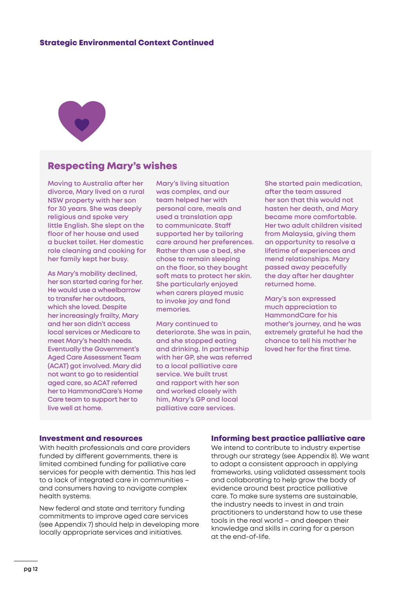

### Respecting Mary's wishes

**Moving to Australia after her divorce, Mary lived on a rural NSW property with her son for 30 years. She was deeply religious and spoke very little English. She slept on the floor of her house and used a bucket toilet. Her domestic role cleaning and cooking for her family kept her busy.**

**As Mary's mobility declined, her son started caring for her. He would use a wheelbarrow to transfer her outdoors, which she loved. Despite her increasingly frailty, Mary and her son didn't access local services or Medicare to meet Mary's health needs. Eventually the Government's Aged Care Assessment Team (ACAT) got involved. Mary did not want to go to residential aged care, so ACAT referred her to HammondCare's Home Care team to support her to live well at home.** 

**Mary's living situation was complex, and our team helped her with personal care, meals and used a translation app to communicate. Staff supported her by tailoring care around her preferences. Rather than use a bed, she chose to remain sleeping on the floor, so they bought soft mats to protect her skin. She particularly enjoyed when carers played music to invoke joy and fond memories.** 

**Mary continued to deteriorate. She was in pain, and she stopped eating and drinking. In partnership with her GP, she was referred to a local palliative care service. We built trust and rapport with her son and worked closely with him, Mary's GP and local palliative care services.**

**She started pain medication, after the team assured her son that this would not hasten her death, and Mary became more comfortable. Her two adult children visited from Malaysia, giving them an opportunity to resolve a lifetime of experiences and mend relationships. Mary passed away peacefully the day after her daughter returned home.** 

**Mary's son expressed much appreciation to HammondCare for his mother's journey, and he was extremely grateful he had the chance to tell his mother he loved her for the first time.** 

#### Investment and resources

With health professionals and care providers funded by different governments, there is limited combined funding for palliative care services for people with dementia. This has led to a lack of integrated care in communities – and consumers having to navigate complex health systems.

New federal and state and territory funding commitments to improve aged care services (see Appendix 7) should help in developing more locally appropriate services and initiatives.

#### Informing best practice palliative care

We intend to contribute to industry expertise through our strategy (see Appendix 8). We want to adopt a consistent approach in applying frameworks, using validated assessment tools and collaborating to help grow the body of evidence around best practice palliative care. To make sure systems are sustainable, the industry needs to invest in and train practitioners to understand how to use these tools in the real world – and deepen their knowledge and skills in caring for a person at the end-of-life.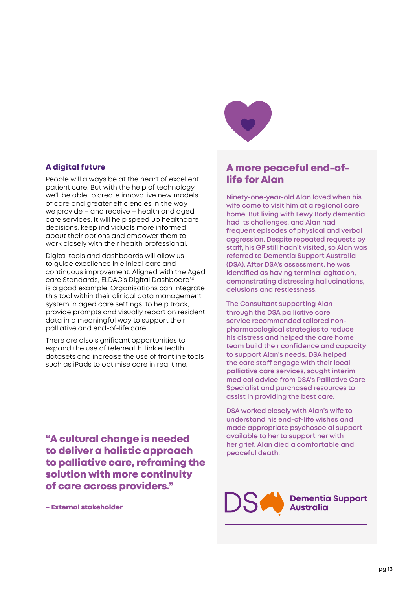#### A digital future

People will always be at the heart of excellent patient care. But with the help of technology, we'll be able to create innovative new models of care and greater efficiencies in the way we provide – and receive – health and aged care services. It will help speed up healthcare decisions, keep individuals more informed about their options and empower them to work closely with their health professional.

Digital tools and dashboards will allow us to guide excellence in clinical care and continuous improvement. Aligned with the Aged care Standards, ELDAC's Digital Dashboard<sup>30</sup> is a good example. Organisations can integrate this tool within their clinical data management system in aged care settings, to help track, provide prompts and visually report on resident data in a meaningful way to support their palliative and end-of-life care.

There are also significant opportunities to expand the use of telehealth, link eHealth datasets and increase the use of frontline tools such as iPads to optimise care in real time.

"A cultural change is needed to deliver a holistic approach to palliative care, reframing the solution with more continuity of care across providers."

– External stakeholder



# A more peaceful end-oflife for Alan

**Ninety-one-year-old Alan loved when his wife came to visit him at a regional care home. But living with Lewy Body dementia had its challenges, and Alan had frequent episodes of physical and verbal aggression. Despite repeated requests by staff, his GP still hadn't visited, so Alan was referred to Dementia Support Australia (DSA). After DSA's assessment, he was identified as having terminal agitation, demonstrating distressing hallucinations, delusions and restlessness.** 

**The Consultant supporting Alan through the DSA palliative care service recommended tailored nonpharmacological strategies to reduce his distress and helped the care home team build their confidence and capacity to support Alan's needs. DSA helped the care staff engage with their local palliative care services, sought interim medical advice from DSA's Palliative Care Specialist and purchased resources to assist in providing the best care.** 

**DSA worked closely with Alan's wife to understand his end-of-life wishes and made appropriate psychosocial support available to her to support her with her grief. Alan died a comfortable and peaceful death.**

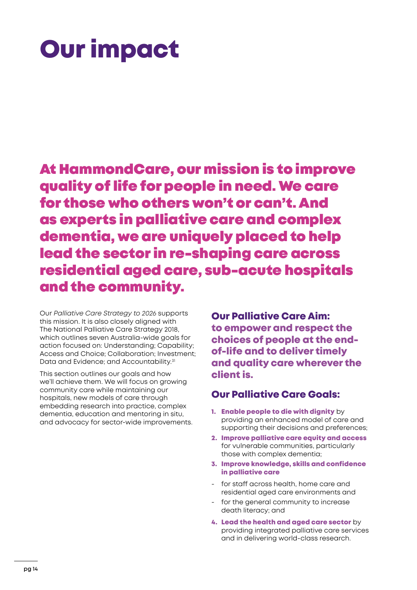# <span id="page-13-0"></span>Our impact

At HammondCare, our mission is to improve quality of life for people in need. We care for those who others won't or can't. And as experts in palliative care and complex dementia, we are uniquely placed to help lead the sector in re-shaping care across residential aged care, sub-acute hospitals and the community.

Our *Palliative Care Strategy to 2026* supports this mission. It is also closely aligned with The National Palliative Care Strategy 2018, which outlines seven Australia-wide goals for action focused on: Understanding; Capability; Access and Choice; Collaboration; Investment; Data and Evidence; and Accountability.<sup>31</sup>

This section outlines our goals and how we'll achieve them. We will focus on growing community care while maintaining our hospitals, new models of care through embedding research into practice, complex dementia, education and mentoring in situ, and advocacy for sector-wide improvements. Our Palliative Care Aim: to empower and respect the choices of people at the endof-life and to deliver timely and quality care wherever the client is.

## Our Palliative Care Goals:

- 1. Enable people to die with dignity by providing an enhanced model of care and supporting their decisions and preferences;
- 2. Improve palliative care equity and access for vulnerable communities, particularly those with complex dementia;
- 3. Improve knowledge, skills and confidence in palliative care
- for staff across health, home care and residential aged care environments and
- for the general community to increase death literacy; and
- 4. Lead the health and aged care sector by providing integrated palliative care services and in delivering world-class research.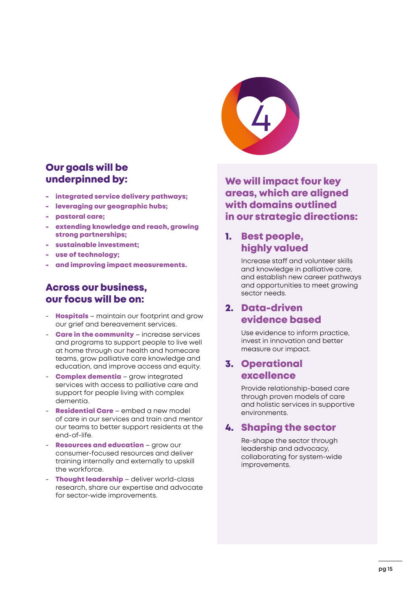

## Our goals will be underpinned by:

- integrated service delivery pathways;
- leveraging our geographic hubs;
- pastoral care;
- extending knowledge and reach, growing strong partnerships;
- sustainable investment;
- use of technology;
- and improving impact measurements.

### Across our business, our focus will be on:

- **Hospitals** maintain our footprint and grow our grief and bereavement services.
- **Care in the community** increase services and programs to support people to live well at home through our health and homecare teams, grow palliative care knowledge and education, and improve access and equity.
- **Complex dementia** grow integrated services with access to palliative care and support for people living with complex dementia.
- **Residential Care** embed a new model of care in our services and train and mentor our teams to better support residents at the end-of-life.
- Resources and education grow our consumer-focused resources and deliver training internally and externally to upskill the workforce.
- Thought leadership deliver world-class research, share our expertise and advocate for sector-wide improvements.

We will impact four key areas, which are aligned with domains outlined in our strategic directions:

## 1. Best people, highly valued

Increase staff and volunteer skills and knowledge in palliative care, and establish new career pathways and opportunities to meet growing sector needs.

## 2. Data-driven evidence based

Use evidence to inform practice, invest in innovation and better measure our impact.

### 3. Operational excellence

Provide relationship-based care through proven models of care and holistic services in supportive environments.

## 4. Shaping the sector

Re-shape the sector through leadership and advocacy, collaborating for system-wide improvements.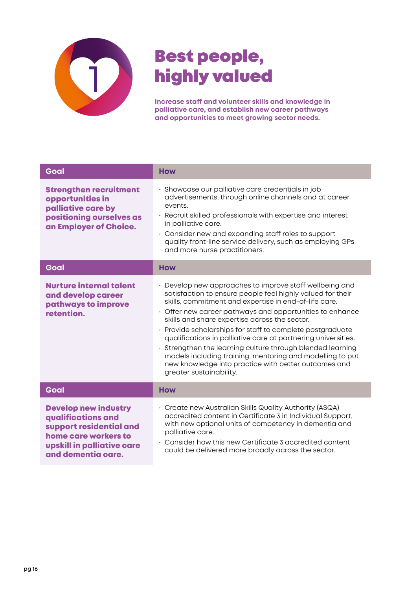

# Best people, highly valued

**Increase staff and volunteer skills and knowledge in palliative care, and establish new career pathways and opportunities to meet growing sector needs.**

| Goal                                                                                                                                                     | <b>How</b>                                                                                                                                                                                                                                                                                                                                                                                                                                                                                                                                                                                                                                    |
|----------------------------------------------------------------------------------------------------------------------------------------------------------|-----------------------------------------------------------------------------------------------------------------------------------------------------------------------------------------------------------------------------------------------------------------------------------------------------------------------------------------------------------------------------------------------------------------------------------------------------------------------------------------------------------------------------------------------------------------------------------------------------------------------------------------------|
| <b>Strengthen recruitment</b><br>opportunities in<br>palliative care by<br>positioning ourselves as<br>an Employer of Choice.                            | · Showcase our palliative care credentials in job<br>advertisements, through online channels and at career<br>events.<br>· Recruit skilled professionals with expertise and interest<br>in palliative care.<br>• Consider new and expanding staff roles to support<br>quality front-line service delivery, such as employing GPs<br>and more nurse practitioners.                                                                                                                                                                                                                                                                             |
| Goal                                                                                                                                                     | <b>How</b>                                                                                                                                                                                                                                                                                                                                                                                                                                                                                                                                                                                                                                    |
| <b>Nurture internal talent</b><br>and develop career<br>pathways to improve<br>retention.                                                                | • Develop new approaches to improve staff wellbeing and<br>satisfaction to ensure people feel highly valued for their<br>skills, commitment and expertise in end-of-life care.<br>$\cdot$ Offer new career pathways and opportunities to enhance<br>skills and share expertise across the sector.<br>· Provide scholarships for staff to complete postgraduate<br>qualifications in palliative care at partnering universities.<br>• Strengthen the learning culture through blended learning<br>models including training, mentoring and modelling to put<br>new knowledge into practice with better outcomes and<br>greater sustainability. |
| Goal                                                                                                                                                     | <b>How</b>                                                                                                                                                                                                                                                                                                                                                                                                                                                                                                                                                                                                                                    |
| <b>Develop new industry</b><br>qualifications and<br>support residential and<br>home care workers to<br>upskill in palliative care<br>and dementia care. | • Create new Australian Skills Quality Authority (ASQA)<br>accredited content in Certificate 3 in Individual Support,<br>with new optional units of competency in dementia and<br>palliative care.<br>• Consider how this new Certificate 3 accredited content<br>could be delivered more broadly across the sector.                                                                                                                                                                                                                                                                                                                          |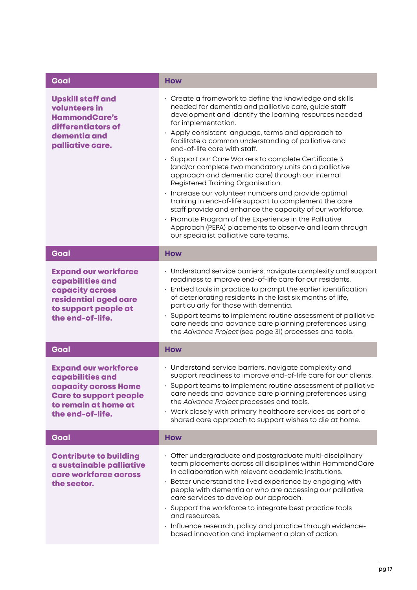| Goal                                                                                                                                                        | <b>How</b>                                                                                                                                                                                                                                                                                                                                                                                                                                                                                                                                                                                                                                                                                                                                                                                                                                                                                        |
|-------------------------------------------------------------------------------------------------------------------------------------------------------------|---------------------------------------------------------------------------------------------------------------------------------------------------------------------------------------------------------------------------------------------------------------------------------------------------------------------------------------------------------------------------------------------------------------------------------------------------------------------------------------------------------------------------------------------------------------------------------------------------------------------------------------------------------------------------------------------------------------------------------------------------------------------------------------------------------------------------------------------------------------------------------------------------|
| <b>Upskill staff and</b><br>volunteers in<br><b>HammondCare's</b><br>differentiators of<br>dementia and<br>palliative care.                                 | • Create a framework to define the knowledge and skills<br>needed for dementia and palliative care, guide staff<br>development and identify the learning resources needed<br>for implementation.<br>· Apply consistent language, terms and approach to<br>facilitate a common understanding of palliative and<br>end-of-life care with staff.<br>· Support our Care Workers to complete Certificate 3<br>(and/or complete two mandatory units on a palliative<br>approach and dementia care) through our internal<br>Registered Training Organisation.<br>· Increase our volunteer numbers and provide optimal<br>training in end-of-life support to complement the care<br>staff provide and enhance the capacity of our workforce.<br>• Promote Program of the Experience in the Palliative<br>Approach (PEPA) placements to observe and learn through<br>our specialist palliative care teams. |
| Goal                                                                                                                                                        | <b>How</b>                                                                                                                                                                                                                                                                                                                                                                                                                                                                                                                                                                                                                                                                                                                                                                                                                                                                                        |
| <b>Expand our workforce</b><br>capabilities and<br>capacity across<br>residential aged care<br>to support people at<br>the end-of-life.                     | • Understand service barriers, navigate complexity and support<br>readiness to improve end-of-life care for our residents.<br>Embed tools in practice to prompt the earlier identification<br>of deteriorating residents in the last six months of life,<br>particularly for those with dementia.<br>• Support teams to implement routine assessment of palliative<br>care needs and advance care planning preferences using<br>the Advance Project (see page 31) processes and tools.                                                                                                                                                                                                                                                                                                                                                                                                            |
| Goal                                                                                                                                                        | <b>How</b>                                                                                                                                                                                                                                                                                                                                                                                                                                                                                                                                                                                                                                                                                                                                                                                                                                                                                        |
| <b>Expand our workforce</b><br><b>capabilities and</b><br>capacity across Home<br><b>Care to support people</b><br>to remain at home at<br>the end-of-life. | • Understand service barriers, navigate complexity and<br>support readiness to improve end-of-life care for our clients.<br>Support teams to implement routine assessment of palliative<br>care needs and advance care planning preferences using<br>the Advance Project processes and tools.<br>• Work closely with primary healthcare services as part of a<br>shared care approach to support wishes to die at home.                                                                                                                                                                                                                                                                                                                                                                                                                                                                           |
| Goal                                                                                                                                                        | <b>How</b>                                                                                                                                                                                                                                                                                                                                                                                                                                                                                                                                                                                                                                                                                                                                                                                                                                                                                        |
| <b>Contribute to building</b><br>a sustainable palliative<br>care workforce across<br>the sector.                                                           | · Offer undergraduate and postgraduate multi-disciplinary<br>team placements across all disciplines within HammondCare<br>in collaboration with relevant academic institutions.<br>· Better understand the lived experience by engaging with<br>people with dementia or who are accessing our palliative<br>care services to develop our approach.<br>· Support the workforce to integrate best practice tools<br>and resources.<br>· Influence research, policy and practice through evidence-<br>based innovation and implement a plan of action.                                                                                                                                                                                                                                                                                                                                               |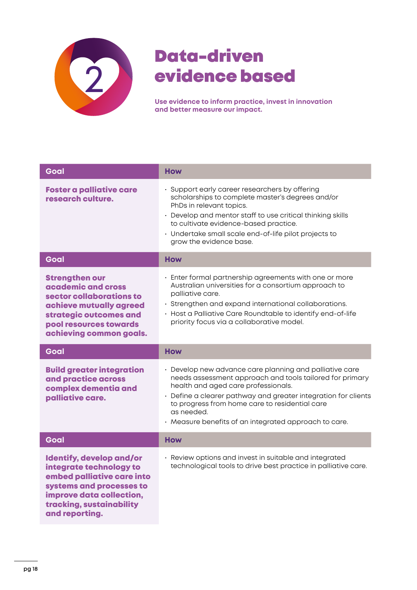

# Data-driven evidence based

**Use evidence to inform practice, invest in innovation and better measure our impact.**

| Goal                                                                                                                                                                              | <b>How</b>                                                                                                                                                                                                                                                                                                                                            |
|-----------------------------------------------------------------------------------------------------------------------------------------------------------------------------------|-------------------------------------------------------------------------------------------------------------------------------------------------------------------------------------------------------------------------------------------------------------------------------------------------------------------------------------------------------|
| <b>Foster a palliative care</b><br>research culture.                                                                                                                              | · Support early career researchers by offering<br>scholarships to complete master's degrees and/or<br>PhDs in relevant topics.<br>• Develop and mentor staff to use critical thinking skills<br>to cultivate evidence-based practice.<br>· Undertake small scale end-of-life pilot projects to<br>grow the evidence base.                             |
| Goal                                                                                                                                                                              | <b>How</b>                                                                                                                                                                                                                                                                                                                                            |
| <b>Strengthen our</b><br>academic and cross<br>sector collaborations to<br>achieve mutually agreed<br>strategic outcomes and<br>pool resources towards<br>achieving common goals. | · Enter formal partnership agreements with one or more<br>Australian universities for a consortium approach to<br>palliative care.<br>· Strengthen and expand international collaborations.<br>• Host a Palliative Care Roundtable to identify end-of-life<br>priority focus via a collaborative model.                                               |
| Goal                                                                                                                                                                              | <b>How</b>                                                                                                                                                                                                                                                                                                                                            |
|                                                                                                                                                                                   |                                                                                                                                                                                                                                                                                                                                                       |
| <b>Build greater integration</b><br>and practice across<br>complex dementia and<br>palliative care.                                                                               | • Develop new advance care planning and palliative care<br>needs assessment approach and tools tailored for primary<br>health and aged care professionals.<br>• Define a clearer pathway and greater integration for clients<br>to progress from home care to residential care<br>as needed.<br>· Measure benefits of an integrated approach to care. |
| Goal                                                                                                                                                                              | <b>How</b>                                                                                                                                                                                                                                                                                                                                            |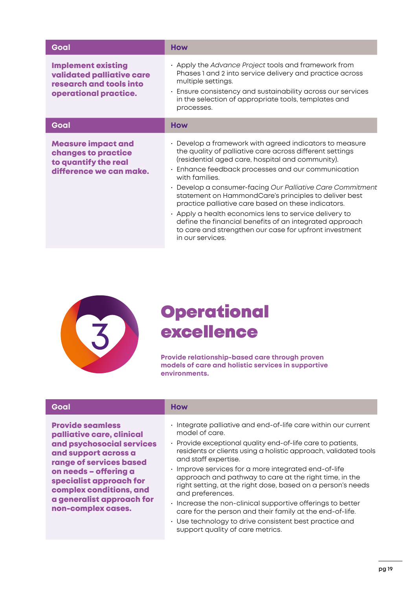| Goal                                                                                                       | <b>How</b>                                                                                                                                                                                                                                                                                                                                                                                                                                                                                                                                                                                                                     |
|------------------------------------------------------------------------------------------------------------|--------------------------------------------------------------------------------------------------------------------------------------------------------------------------------------------------------------------------------------------------------------------------------------------------------------------------------------------------------------------------------------------------------------------------------------------------------------------------------------------------------------------------------------------------------------------------------------------------------------------------------|
| <b>Implement existing</b><br>validated palliative care<br>research and tools into<br>operational practice. | • Apply the Advance Project tools and framework from<br>Phases 1 and 2 into service delivery and practice across<br>multiple settings.<br>· Ensure consistency and sustainability across our services<br>in the selection of appropriate tools, templates and<br>processes.                                                                                                                                                                                                                                                                                                                                                    |
| Goal                                                                                                       | <b>How</b>                                                                                                                                                                                                                                                                                                                                                                                                                                                                                                                                                                                                                     |
| <b>Measure impact and</b><br>changes to practice<br>to quantify the real<br>difference we can make.        | • Develop a framework with agreed indicators to measure<br>the quality of palliative care across different settings<br>(residential aged care, hospital and community).<br>Enhance feedback processes and our communication<br>with families.<br>• Develop a consumer-facing Our Palliative Care Commitment<br>statement on HammondCare's principles to deliver best<br>practice palliative care based on these indicators.<br>• Apply a health economics lens to service delivery to<br>define the financial benefits of an integrated approach<br>to care and strengthen our case for upfront investment<br>in our services. |



# **Operational** excellence

**Provide relationship-based care through proven models of care and holistic services in supportive environments.**

| Goal                                                                                                                                                                                                                                                                   | <b>How</b>                                                                                                                                                                                                                                                                                                                                                                                                                                                                                                                                                                                                                                                              |
|------------------------------------------------------------------------------------------------------------------------------------------------------------------------------------------------------------------------------------------------------------------------|-------------------------------------------------------------------------------------------------------------------------------------------------------------------------------------------------------------------------------------------------------------------------------------------------------------------------------------------------------------------------------------------------------------------------------------------------------------------------------------------------------------------------------------------------------------------------------------------------------------------------------------------------------------------------|
| <b>Provide seamless</b><br>palliative care, clinical<br>and psychosocial services<br>and support across a<br>range of services based<br>on needs - offering a<br>specialist approach for<br>complex conditions, and<br>a generalist approach for<br>non-complex cases. | • Integrate palliative and end-of-life care within our current<br>model of care.<br>· Provide exceptional quality end-of-life care to patients,<br>residents or clients using a holistic approach, validated tools<br>and staff expertise.<br>· Improve services for a more integrated end-of-life<br>approach and pathway to care at the right time, in the<br>right setting, at the right dose, based on a person's needs<br>and preferences.<br>· Increase the non-clinical supportive offerings to better<br>care for the person and their family at the end-of-life.<br>• Use technology to drive consistent best practice and<br>support quality of care metrics. |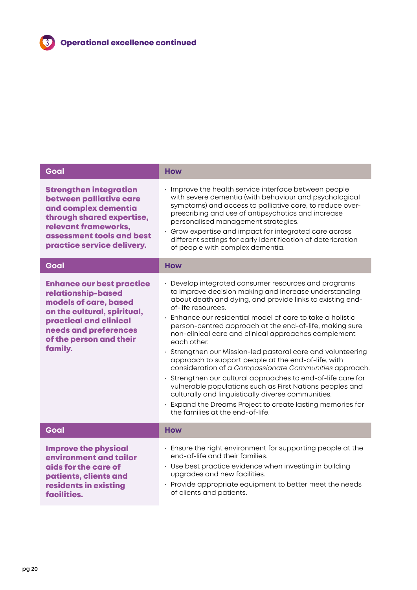| <b>How</b>                                                                                                                                                                                                                                                                                                                                                                                                                                                                                                                                                                                                                                                                                                                                                                                                                                                         |
|--------------------------------------------------------------------------------------------------------------------------------------------------------------------------------------------------------------------------------------------------------------------------------------------------------------------------------------------------------------------------------------------------------------------------------------------------------------------------------------------------------------------------------------------------------------------------------------------------------------------------------------------------------------------------------------------------------------------------------------------------------------------------------------------------------------------------------------------------------------------|
| · Improve the health service interface between people<br>with severe dementia (with behaviour and psychological<br>symptoms) and access to palliative care, to reduce over-<br>prescribing and use of antipsychotics and increase<br>personalised management strategies.<br>· Grow expertise and impact for integrated care across<br>different settings for early identification of deterioration<br>of people with complex dementia.                                                                                                                                                                                                                                                                                                                                                                                                                             |
| <b>How</b>                                                                                                                                                                                                                                                                                                                                                                                                                                                                                                                                                                                                                                                                                                                                                                                                                                                         |
| · Develop integrated consumer resources and programs<br>to improve decision making and increase understanding<br>about death and dying, and provide links to existing end-<br>of-life resources.<br>Enhance our residential model of care to take a holistic<br>person-centred approach at the end-of-life, making sure<br>non-clinical care and clinical approaches complement<br>each other.<br>· Strengthen our Mission-led pastoral care and volunteering<br>approach to support people at the end-of-life, with<br>consideration of a Compassionate Communities approach.<br>· Strengthen our cultural approaches to end-of-life care for<br>vulnerable populations such as First Nations peoples and<br>culturally and linguistically diverse communities.<br>· Expand the Dreams Project to create lasting memories for<br>the families at the end-of-life. |
| <b>How</b>                                                                                                                                                                                                                                                                                                                                                                                                                                                                                                                                                                                                                                                                                                                                                                                                                                                         |
| · Ensure the right environment for supporting people at the<br>end-of-life and their families.<br>• Use best practice evidence when investing in building<br>upgrades and new facilities.<br>· Provide appropriate equipment to better meet the needs<br>of clients and patients.                                                                                                                                                                                                                                                                                                                                                                                                                                                                                                                                                                                  |
|                                                                                                                                                                                                                                                                                                                                                                                                                                                                                                                                                                                                                                                                                                                                                                                                                                                                    |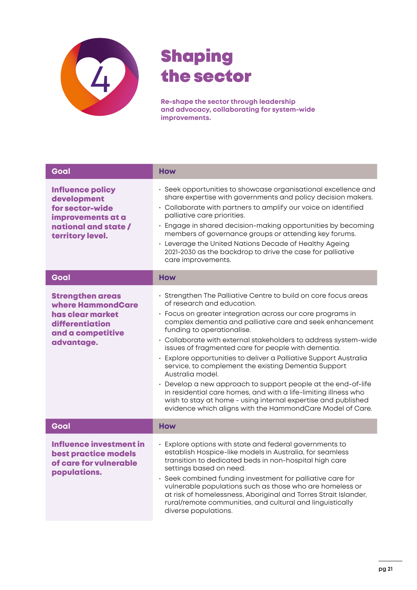

# Shaping the sector

**Re-shape the sector through leadership and advocacy, collaborating for system-wide improvements.** 

| Goal                                                                                                                       | <b>How</b>                                                                                                                                                                                                                                                                                                                                                                                                                                                                                                                                                                                                                                                                                                                                                                                          |
|----------------------------------------------------------------------------------------------------------------------------|-----------------------------------------------------------------------------------------------------------------------------------------------------------------------------------------------------------------------------------------------------------------------------------------------------------------------------------------------------------------------------------------------------------------------------------------------------------------------------------------------------------------------------------------------------------------------------------------------------------------------------------------------------------------------------------------------------------------------------------------------------------------------------------------------------|
| <b>Influence policy</b><br>development<br>for sector-wide<br>improvements at a<br>national and state /<br>territory level. | · Seek opportunities to showcase organisational excellence and<br>share expertise with governments and policy decision makers.<br>• Collaborate with partners to amplify our voice on identified<br>palliative care priorities.<br>· Engage in shared decision-making opportunities by becoming<br>members of governance groups or attending key forums.<br>• Leverage the United Nations Decade of Healthy Ageing<br>2021-2030 as the backdrop to drive the case for palliative<br>care improvements.                                                                                                                                                                                                                                                                                              |
| Goal                                                                                                                       | <b>How</b>                                                                                                                                                                                                                                                                                                                                                                                                                                                                                                                                                                                                                                                                                                                                                                                          |
| <b>Strengthen areas</b><br>where HammondCare<br>has clear market<br>differentiation<br>and a competitive<br>advantage.     | · Strengthen The Palliative Centre to build on core focus areas<br>of research and education.<br>· Focus on greater integration across our core programs in<br>complex dementia and palliative care and seek enhancement<br>funding to operationalise.<br>· Collaborate with external stakeholders to address system-wide<br>issues of fragmented care for people with dementia.<br>· Explore opportunities to deliver a Palliative Support Australia<br>service, to complement the existing Dementia Support<br>Australia model.<br>• Develop a new approach to support people at the end-of-life<br>in residential care homes, and with a life-limiting illness who<br>wish to stay at home - using internal expertise and published<br>evidence which aligns with the HammondCare Model of Care. |
| Goal                                                                                                                       | <b>How</b>                                                                                                                                                                                                                                                                                                                                                                                                                                                                                                                                                                                                                                                                                                                                                                                          |
| <b>Influence investment in</b><br>best practice models<br>of care for vulnerable<br>populations.                           | · Explore options with state and federal governments to<br>establish Hospice-like models in Australia, for seamless<br>transition to dedicated beds in non-hospital high care<br>settings based on need.<br>· Seek combined funding investment for palliative care for<br>vulnerable populations such as those who are homeless or<br>at risk of homelessness, Aboriginal and Torres Strait Islander,<br>rural/remote communities, and cultural and linguistically<br>diverse populations.                                                                                                                                                                                                                                                                                                          |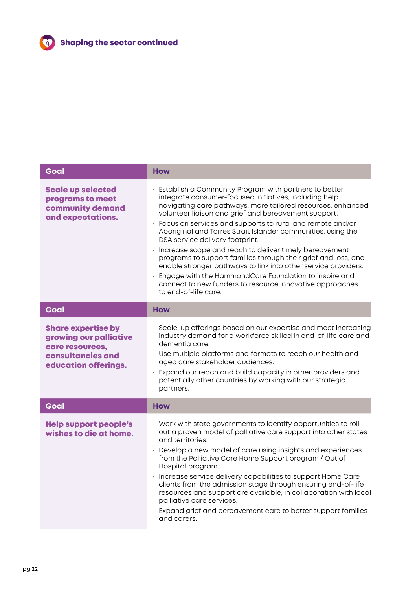

| Goal                                                                                                                       | <b>How</b>                                                                                                                                                                                                                                                                                                                                                                                                                                                                                                                                                                                                                                                                                                                                              |
|----------------------------------------------------------------------------------------------------------------------------|---------------------------------------------------------------------------------------------------------------------------------------------------------------------------------------------------------------------------------------------------------------------------------------------------------------------------------------------------------------------------------------------------------------------------------------------------------------------------------------------------------------------------------------------------------------------------------------------------------------------------------------------------------------------------------------------------------------------------------------------------------|
| <b>Scale up selected</b><br>programs to meet<br>community demand<br>and expectations.                                      | Establish a Community Program with partners to better<br>integrate consumer-focused initiatives, including help<br>navigating care pathways, more tailored resources, enhanced<br>volunteer liaison and grief and bereavement support.<br>· Focus on services and supports to rural and remote and/or<br>Aboriginal and Torres Strait Islander communities, using the<br>DSA service delivery footprint.<br>· Increase scope and reach to deliver timely bereavement<br>programs to support families through their grief and loss, and<br>enable stronger pathways to link into other service providers.<br>· Engage with the HammondCare Foundation to inspire and<br>connect to new funders to resource innovative approaches<br>to end-of-life care. |
| Goal                                                                                                                       | <b>How</b>                                                                                                                                                                                                                                                                                                                                                                                                                                                                                                                                                                                                                                                                                                                                              |
| <b>Share expertise by</b><br>growing our palliative<br>care resources,<br><b>consultancies and</b><br>education offerings. | · Scale-up offerings based on our expertise and meet increasing<br>industry demand for a workforce skilled in end-of-life care and<br>dementia care.<br>• Use multiple platforms and formats to reach our health and<br>aged care stakeholder audiences.<br>· Expand our reach and build capacity in other providers and<br>potentially other countries by working with our strategic<br>partners.                                                                                                                                                                                                                                                                                                                                                      |
| Goal                                                                                                                       | <b>How</b>                                                                                                                                                                                                                                                                                                                                                                                                                                                                                                                                                                                                                                                                                                                                              |
| <b>Help support people's</b><br>wishes to die at home.                                                                     | • Work with state governments to identify opportunities to roll-<br>out a proven model of palliative care support into other states<br>and territories.<br>• Develop a new model of care using insights and experiences<br>from the Palliative Care Home Support program / Out of<br>Hospital program.<br>· Increase service delivery capabilities to support Home Care<br>clients from the admission stage through ensuring end-of-life<br>resources and support are available, in collaboration with local<br>palliative care services.<br>Expand grief and bereavement care to better support families<br>and carers.                                                                                                                                |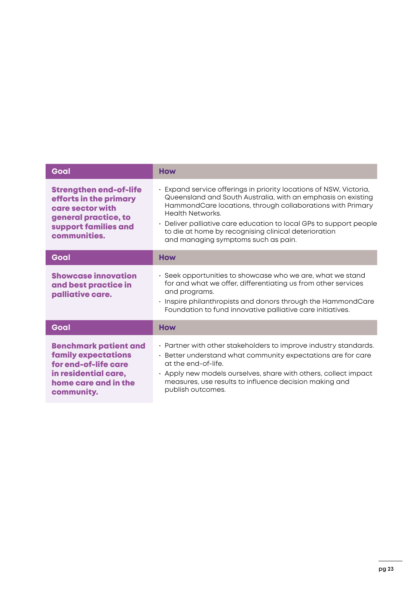| Goal                                                                                                                                             | <b>How</b>                                                                                                                                                                                                                                                                                                                                                                                     |
|--------------------------------------------------------------------------------------------------------------------------------------------------|------------------------------------------------------------------------------------------------------------------------------------------------------------------------------------------------------------------------------------------------------------------------------------------------------------------------------------------------------------------------------------------------|
| <b>Strengthen end-of-life</b><br>efforts in the primary<br>care sector with<br>general practice, to<br>support families and<br>communities.      | Expand service offerings in priority locations of NSW, Victoria,<br>Queensland and South Australia, with an emphasis on existing<br>HammondCare locations, through collaborations with Primary<br><b>Health Networks.</b><br>• Deliver palliative care education to local GPs to support people<br>to die at home by recognising clinical deterioration<br>and managing symptoms such as pain. |
| Goal                                                                                                                                             | <b>How</b>                                                                                                                                                                                                                                                                                                                                                                                     |
| <b>Showcase innovation</b><br>and best practice in<br>palliative care.                                                                           | · Seek opportunities to showcase who we are, what we stand<br>for and what we offer, differentiating us from other services<br>and programs.<br>· Inspire philanthropists and donors through the HammondCare<br>Foundation to fund innovative palliative care initiatives.                                                                                                                     |
| Goal                                                                                                                                             | <b>How</b>                                                                                                                                                                                                                                                                                                                                                                                     |
| <b>Benchmark patient and</b><br><b>family expectations</b><br>for end-of-life care<br>in residential care,<br>home care and in the<br>community. | · Partner with other stakeholders to improve industry standards.<br>· Better understand what community expectations are for care<br>at the end-of-life.<br>• Apply new models ourselves, share with others, collect impact<br>measures, use results to influence decision making and<br>publish outcomes.                                                                                      |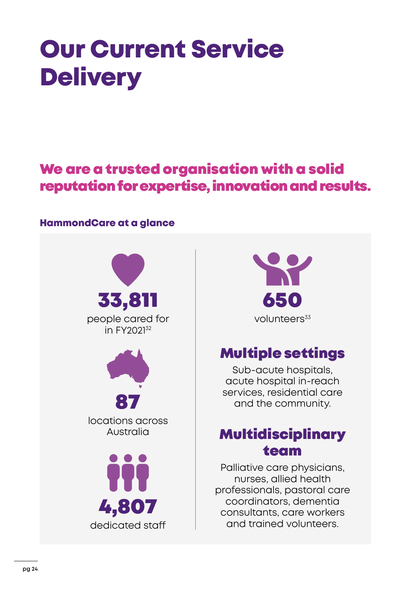# <span id="page-23-0"></span>Our Current Service **Delivery**

# We are a trusted organisation with a solid reputation for expertise, innovation and results.

## HammondCare at a glance





# Multiple settings

Sub-acute hospitals, acute hospital in-reach services, residential care and the community.

# Multidisciplinary team

Palliative care physicians, nurses, allied health professionals, pastoral care coordinators, dementia consultants, care workers and trained volunteers.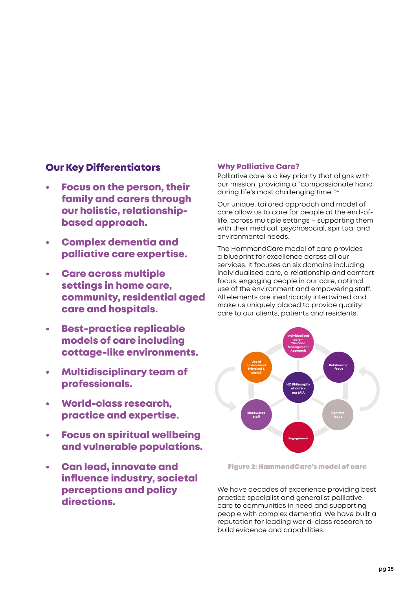### Our Key Differentiators

- Focus on the person, their family and carers through our holistic, relationshipbased approach.
- Complex dementia and palliative care expertise.
- Care across multiple settings in home care, community, residential aged care and hospitals.
- Best-practice replicable models of care including cottage-like environments.
- Multidisciplinary team of professionals.
- World-class research, practice and expertise.
- **Focus on spiritual wellbeing** and vulnerable populations.
- Can lead, innovate and influence industry, societal perceptions and policy directions.

#### Why Palliative Care?

Palliative care is a key priority that aligns with our mission, providing a "compassionate hand during life's most challenging time."34

Our unique, tailored approach and model of care allow us to care for people at the end-oflife, across multiple settings – supporting them with their medical, psychosocial, spiritual and environmental needs.

The HammondCare model of care provides a blueprint for excellence across all our services. It focuses on six domains including individualised care, a relationship and comfort focus, engaging people in our care, optimal use of the environment and empowering staff. All elements are inextricably intertwined and make us uniquely placed to provide quality care to our clients, patients and residents.



Figure 2: HammondCare's model of care

We have decades of experience providing best practice specialist and generalist palliative care to communities in need and supporting people with complex dementia. We have built a reputation for leading world-class research to build evidence and capabilities.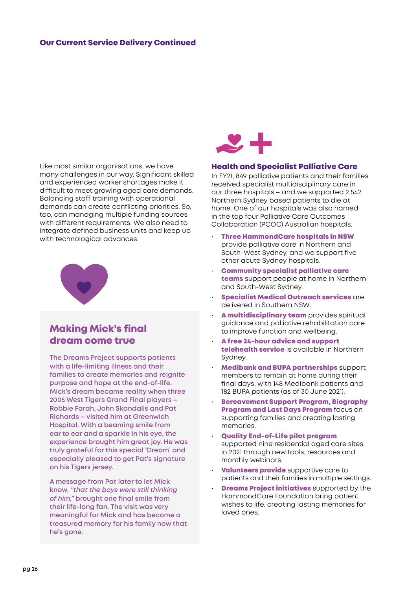#### Our Current Service Delivery Continued

Like most similar organisations, we have many challenges in our way. Significant skilled and experienced worker shortages make it difficult to meet growing aged care demands. Balancing staff training with operational demands can create conflicting priorities. So, too, can managing multiple funding sources with different requirements. We also need to integrate defined business units and keep up with technological advances.



## Making Mick's final dream come true

**The Dreams Project supports patients with a life-limiting illness and their families to create memories and reignite purpose and hope at the end-of-life. Mick's dream became reality when three 2005 West Tigers Grand Final players – Robbie Farah, John Skandalis and Pat Richards – visited him at Greenwich Hospital. With a beaming smile from ear to ear and a sparkle in his eye, the experience brought him great joy. He was truly grateful for this special 'Dream' and especially pleased to get Pat's signature on his Tigers jersey.**

**A message from Pat later to let Mick know,** *"that the boys were still thinking of him,"* **brought one final smile from their life-long fan. The visit was very meaningful for Mick and has become a treasured memory for his family now that he's gone.**



#### Health and Specialist Palliative Care

In FY21, 849 palliative patients and their families received specialist multidisciplinary care in our three hospitals – and we supported 2,542 Northern Sydney based patients to die at home. One of our hospitals was also named in the top four Palliative Care Outcomes Collaboration (PCOC) Australian hospitals.

- Three HammondCare hospitals in NSW provide palliative care in Northern and South-West Sydney, and we support five other acute Sydney hospitals.
- Community specialist palliative care teams support people at home in Northern and South-West Sydney.
- Specialist Medical Outreach services are delivered in Southern NSW.
- A multidisciplinary team provides spiritual guidance and palliative rehabilitation care to improve function and wellbeing.
- A free 24-hour advice and support telehealth service is available in Northern Sydney.
- Medibank and BUPA partnerships support members to remain at home during their final days, with 148 Medibank patients and 182 BUPA patients (as of 30 June 2021).
- Bereavement Support Program, Biography Program and Last Days Program focus on supporting families and creating lasting memories.
- Quality End-of-Life pilot program supported nine residential aged care sites in 2021 through new tools, resources and monthly webinars.
- **Volunteers provide** supportive care to patients and their families in multiple settings.
- **Dreams Project initiatives** supported by the HammondCare Foundation bring patient wishes to life, creating lasting memories for loved ones.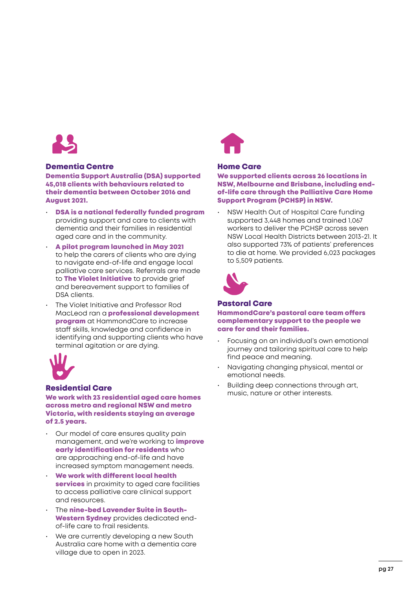

#### Dementia Centre

Dementia Support Australia (DSA) supported 45,018 clients with behaviours related to their dementia between October 2016 and August 2021.

- DSA is a national federally funded program providing support and care to clients with dementia and their families in residential aged care and in the community.
- A pilot program launched in May 2021 to help the carers of clients who are dying to navigate end-of-life and engage local palliative care services. Referrals are made to **The Violet Initiative** to provide grief and bereavement support to families of DSA clients.
- The Violet Initiative and Professor Rod MacLeod ran a **professional development** program at HammondCare to increase staff skills, knowledge and confidence in identifying and supporting clients who have terminal agitation or are dying.



#### Residential Care

We work with 23 residential aged care homes across metro and regional NSW and metro Victoria, with residents staying an average of 2.5 years.

- Our model of care ensures quality pain management, and we're working to *improve* early identification for residents who are approaching end-of-life and have increased symptom management needs.
- We work with different local health services in proximity to aged care facilities to access palliative care clinical support and resources.
- The nine-bed Lavender Suite in South-Western Sydney provides dedicated endof-life care to frail residents.
- We are currently developing a new South Australia care home with a dementia care village due to open in 2023.



#### Home Care

We supported clients across 26 locations in NSW, Melbourne and Brisbane, including endof-life care through the Palliative Care Home Support Program (PCHSP) in NSW.

• NSW Health Out of Hospital Care funding supported 3,448 homes and trained 1,067 workers to deliver the PCHSP across seven NSW Local Health Districts between 2013-21. It also supported 73% of patients' preferences to die at home. We provided 6,023 packages to 5,509 patients.



#### Pastoral Care

HammondCare's pastoral care team offers complementary support to the people we care for and their families.

- Focusing on an individual's own emotional journey and tailoring spiritual care to help find peace and meaning.
- Navigating changing physical, mental or emotional needs.
- Building deep connections through art, music, nature or other interests.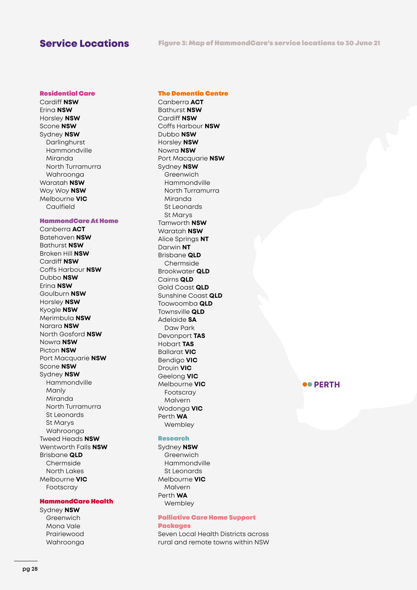#### Residential Care

Cardiff **NSW** Erina **NSW** Horsley **NSW** Scone **NSW** Sydney **NSW** Darlinghurst Hammondville Miranda North Turramurra Wahroonga Waratah **NSW** Woy Woy **NSW** Melbourne **VIC** Caulfield

#### HammondCare At Home

Canberra **ACT** Batehaven **NSW** Bathurst **NSW** Broken Hill **NSW** Cardiff **NSW** Coffs Harbour **NSW** Dubbo **NSW** Erina **NSW** Goulburn **NSW** Horsley **NSW** Kyogle **NSW** Merimbula **NSW** Narara **NSW** North Gosford **NSW** Nowra **NSW** Picton **NSW** Port Macquarie **NSW** Scone **NSW** Sydney **NSW** Hammondville Manly Miranda North Turramurra St Leonards St Marys Wahroonga Tweed Heads **NSW**  Wentworth Falls **NSW** Brisbane **QLD** Chermside North Lakes Melbourne **VIC** Footscray

#### HammondCare Health

Sydney **NSW** Greenwich Mona Vale Prairiewood Wahroonga

#### The Dementia Centre

Canberra **ACT** Bathurst **NSW** Cardiff **NSW** Coffs Harbour **NSW** Dubbo **NSW** Horsley **NSW** Nowra **NSW** Port Macquarie **NSW** Sydney **NSW** Greenwich Hammondville North Turramurra Miranda St Leonards St Marys Tamworth **NSW** Waratah **NSW** Alice Springs **NT** Darwin **NT** Brisbane **QLD** Chermside Brookwater **QLD** Cairns **QLD** Gold Coast **QLD** Sunshine Coast **QLD** Toowoomba **QLD** Townsville **QLD** Adelaide **SA**  Daw Park Devonport **TAS** Hobart **TAS** Ballarat **VIC** Bendigo **VIC** Drouin **VIC** Geelong **VIC** Melbourne **VIC** Footscray Malvern Wodonga **VIC** Perth **WA** Wembley

#### Research

Sydney **NSW** Greenwich Hammondville St Leonards Melbourne **VIC** Malvern Perth **WA** Wembley

#### Palliative Care Home Support Packages

Seven Local Health Districts across rural and remote towns within NSW

#### **PERTH**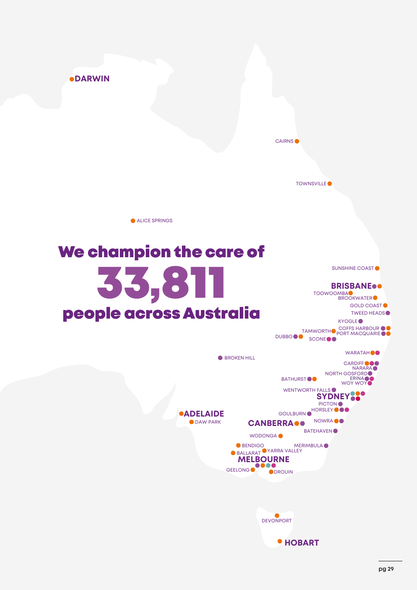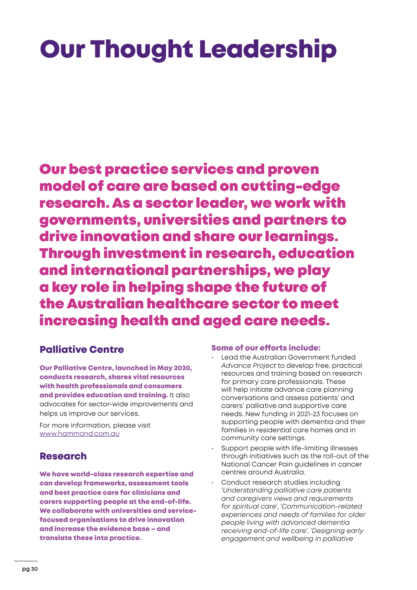# <span id="page-29-0"></span>Our Thought Leadership

Our best practice services and proven model of care are based on cutting-edge research. As a sector leader, we work with governments, universities and partners to drive innovation and share our learnings. Through investment in research, education and international partnerships, we play a key role in helping shape the future of the Australian healthcare sector to meet increasing health and aged care needs.

## Palliative Centre

Our Palliative Centre, launched in May 2020, conducts research, shares vital resources with health professionals and consumers and provides education and training. It also advocates for sector-wide improvements and helps us improve our services.

For more information, please visit [www.hammond.com.au](http://www.hammond.com.au/services/palliative-centre)

# Research

We have world-class research expertise and can develop frameworks, assessment tools and best practice care for clinicians and carers supporting people at the end-of-life. We collaborate with universities and servicefocused organisations to drive innovation and increase the evidence base – and translate these into practice.

#### Some of our efforts include:

- Lead the Australian Government funded *[Advance Project](http://www.theadvanceproject.com.au/)* to develop free, practical resources and training based on research for primary care professionals. These will help initiate advance care planning conversations and assess patients' and carers' palliative and supportive care needs. New funding in 2021-23 focuses on supporting people with dementia and their families in residential care homes and in community care settings.
- Support people with life-limiting illnesses through initiatives such as the roll-out of the National Cancer Pain guidelines in cancer centres around Australia.
- Conduct research studies including *'Understanding palliative care patients and caregivers views and requirements for spiritual care*', '*Communication-related experiences and needs of families for older people living with advanced dementia receiving end-of-life care*', '*Designing early engagement and wellbeing in palliative*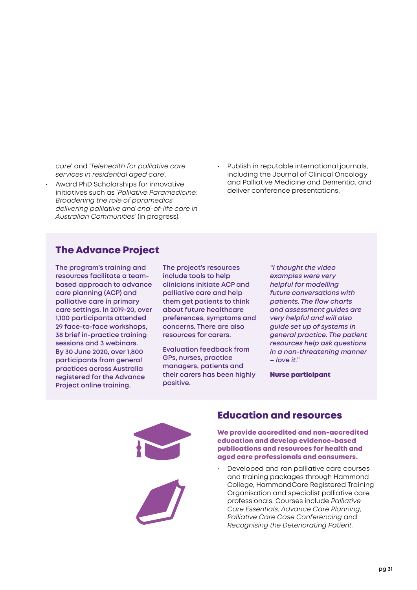*care*' and '*Telehealth for palliative care services in residential aged care*'.

- Award PhD Scholarships for innovative initiatives such as '*Palliative Paramedicine: Broadening the role of paramedics delivering palliative and end-of-life care in Australian Communities'* (in progress).
- Publish in reputable international journals, including the Journal of Clinical Oncology and Palliative Medicine and Dementia, and deliver conference presentations.

### The Advance Project

**The program's training and resources facilitate a teambased approach to advance care planning (ACP) and palliative care in primary care settings. In 2019-20, over 1,100 participants attended 29 face-to-face workshops, 38 brief in-practice training sessions and 3 webinars. By 30 June 2020, over 1,800 participants from general practices across Australia registered for the Advance Project online training.** 

**The project's resources include tools to help clinicians initiate ACP and palliative care and help them get patients to think about future healthcare preferences, symptoms and concerns. There are also resources for carers.** 

**Evaluation feedback from GPs, nurses, practice managers, patients and their carers has been highly positive.**

*"I thought the video examples were very helpful for modelling future conversations with patients. The flow charts and assessment guides are very helpful and will also guide set up of systems in general practice. The patient resources help ask questions in a non-threatening manner – love it."*

Nurse participant



### Education and resources

We provide accredited and non-accredited education and develop evidence-based publications and resources for health and aged care professionals and consumers.

• Developed and ran palliative care courses and training packages through Hammond College, HammondCare Registered Training Organisation and specialist palliative care professionals. Courses include *Palliative Care Essentials*, *Advance Care Planning*, *Palliative Care Case Conferencing* and *Recognising the Deteriorating Patient.*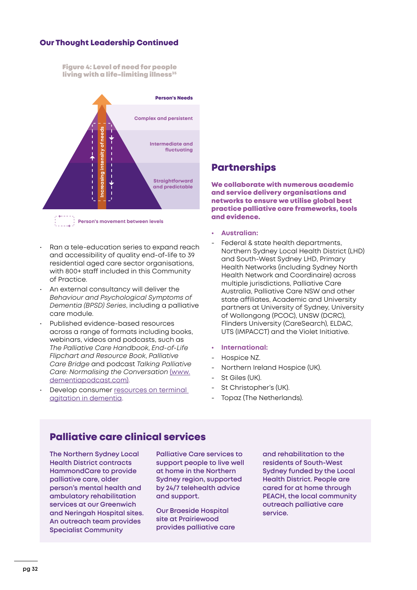#### Our Thought Leadership Continued

Figure 4: Level of need for people living with a life-limiting illness $35$ 



**Person's movement between levels**

- Ran a tele-education series to expand reach and accessibility of quality end-of-life to 39 residential aged care sector organisations, with 800+ staff included in this Community of Practice.
- An external consultancy will deliver the *Behaviour and Psychological Symptoms of Dementia (BPSD) Series*, including a palliative care module.
- Published evidence-based resources across a range of formats including books, webinars, videos and podcasts, such as *The Palliative Care Handbook*, *End-of-Life Flipchart and Resource Book*, *Palliative Care Bridge* and podcast *Talking Palliative Care: Normalising the Conversation* [\(www.](http://www.dementiapodcast.com) [dementiapodcast.com\)](http://www.dementiapodcast.com).
- Develop consumer resources on terminal [agitation in dementia](https://dementia.com.au/resources/library/behaviour/managing-symptoms-of-terminal-agitation.html).

### **Partnerships**

We collaborate with numerous academic and service delivery organisations and networks to ensure we utilise global best practice palliative care frameworks, tools and evidence.

- **• Australian:**
- Federal & state health departments, Northern Sydney Local Health District (LHD) and South-West Sydney LHD, Primary Health Networks (including Sydney North Health Network and Coordinaire) across multiple jurisdictions, Palliative Care Australia, Palliative Care NSW and other state affiliates, Academic and University partners at University of Sydney, University of Wollongong (PCOC), UNSW (DCRC), Flinders University (CareSearch), ELDAC, UTS (IMPACCT) and the Violet Initiative.

#### **• International:**

- Hospice NZ.
- Northern Ireland Hospice (UK).
- St Giles (UK).
- St Christopher's (UK).
- Topaz (The Netherlands).

### Palliative care clinical services

**The Northern Sydney Local Health District contracts HammondCare to provide palliative care, older person's mental health and ambulatory rehabilitation services at our Greenwich and Neringah Hospital sites. An outreach team provides Specialist Community** 

**Palliative Care services to support people to live well at home in the Northern Sydney region, supported by 24/7 telehealth advice and support.**

**Our Braeside Hospital site at Prairiewood provides palliative care**  **and rehabilitation to the residents of South-West Sydney funded by the Local Health District. People are cared for at home through PEACH, the local community outreach palliative care service.**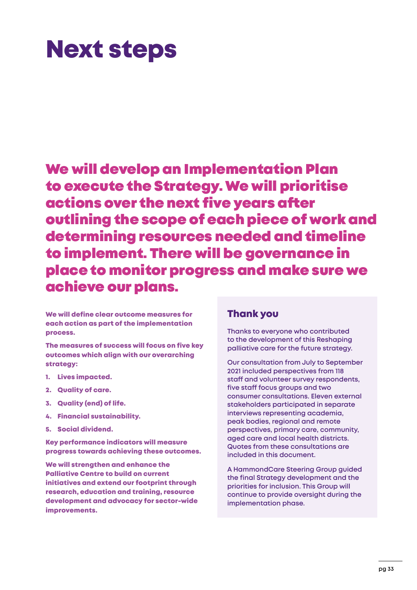# <span id="page-32-0"></span>Next steps

We will develop an Implementation Plan to execute the Strategy. We will prioritise actions over the next five years after outlining the scope of each piece of work and determining resources needed and timeline to implement. There will be governance in place to monitor progress and make sure we achieve our plans.

We will define clear outcome measures for each action as part of the implementation process.

The measures of success will focus on five key outcomes which align with our overarching strategy:

- 1. Lives impacted.
- 2. Quality of care.
- 3. Quality (end) of life.
- 4. Financial sustainability.
- 5. Social dividend.

Key performance indicators will measure progress towards achieving these outcomes.

We will strengthen and enhance the Palliative Centre to build on current initiatives and extend our footprint through research, education and training, resource development and advocacy for sector-wide improvements.

#### Thank you

**Thanks to everyone who contributed to the development of this Reshaping palliative care for the future strategy.** 

**Our consultation from July to September 2021 included perspectives from 118 staff and volunteer survey respondents, five staff focus groups and two consumer consultations. Eleven external stakeholders participated in separate interviews representing academia, peak bodies, regional and remote perspectives, primary care, community, aged care and local health districts. Quotes from these consultations are included in this document.**

**A HammondCare Steering Group guided the final Strategy development and the priorities for inclusion. This Group will continue to provide oversight during the implementation phase.**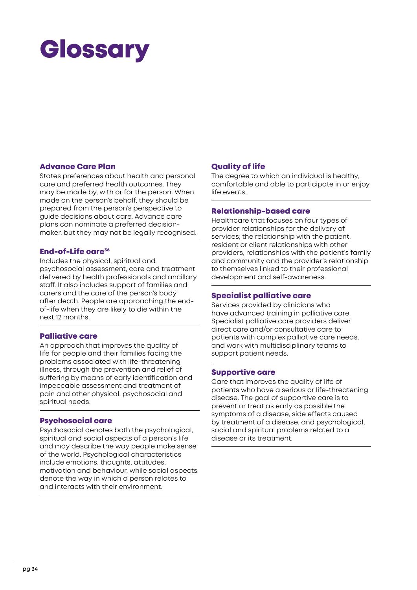# <span id="page-33-0"></span>**Glossary**

#### Advance Care Plan

States preferences about health and personal care and preferred health outcomes. They may be made by, with or for the person. When made on the person's behalf, they should be prepared from the person's perspective to guide decisions about care. Advance care plans can nominate a preferred decisionmaker, but they may not be legally recognised.

#### End-of-Life care<sup>36</sup>

Includes the physical, spiritual and psychosocial assessment, care and treatment delivered by health professionals and ancillary staff. It also includes support of families and carers and the care of the person's body after death. People are approaching the endof-life when they are likely to die within the next 12 months.

#### Palliative care

An approach that improves the quality of life for people and their families facing the problems associated with life-threatening illness, through the prevention and relief of suffering by means of early identification and impeccable assessment and treatment of pain and other physical, psychosocial and spiritual needs.

#### Psychosocial care

Psychosocial denotes both the psychological, spiritual and social aspects of a person's life and may describe the way people make sense of the world. Psychological characteristics include emotions, thoughts, attitudes, motivation and behaviour, while social aspects denote the way in which a person relates to and interacts with their environment.

#### Quality of life

The degree to which an individual is healthy, comfortable and able to participate in or enjoy life events.

#### Relationship-based care

Healthcare that focuses on four types of provider relationships for the delivery of services; the relationship with the patient, resident or client relationships with other providers, relationships with the patient's family and community and the provider's relationship to themselves linked to their professional development and self-awareness.

#### Specialist palliative care

Services provided by clinicians who have advanced training in palliative care. Specialist palliative care providers deliver direct care and/or consultative care to patients with complex palliative care needs, and work with multidisciplinary teams to support patient needs.

#### Supportive care

Care that improves the quality of life of patients who have a serious or life-threatening disease. The goal of supportive care is to prevent or treat as early as possible the symptoms of a disease, side effects caused by treatment of a disease, and psychological, social and spiritual problems related to a disease or its treatment.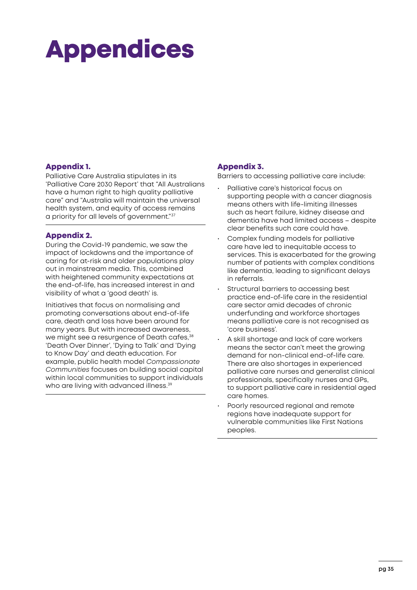# <span id="page-34-0"></span>Appendices

#### Appendix 1.

Palliative Care Australia stipulates in its 'Palliative Care 2030 Report' that "All Australians have a human right to high quality palliative care" and "Australia will maintain the universal health system, and equity of access remains a priority for all levels of government."<sup>37</sup>

#### Appendix 2.

During the Covid-19 pandemic, we saw the impact of lockdowns and the importance of caring for at-risk and older populations play out in mainstream media. This, combined with heightened community expectations at the end-of-life, has increased interest in and visibility of what a 'good death' is.

Initiatives that focus on normalising and promoting conversations about end-of-life care, death and loss have been around for many years. But with increased awareness, we might see a resurgence of Death cafes, 38 'Death Over Dinner', 'Dying to Talk' and 'Dying to Know Day' and death education. For example, public health model *Compassionate Communities* focuses on building social capital within local communities to support individuals who are living with advanced illness.<sup>39</sup>

#### Appendix 3.

Barriers to accessing palliative care include:

- Palliative care's historical focus on supporting people with a cancer diagnosis means others with life-limiting illnesses such as heart failure, kidney disease and dementia have had limited access – despite clear benefits such care could have.
- Complex funding models for palliative care have led to inequitable access to services. This is exacerbated for the growing number of patients with complex conditions like dementia, leading to significant delays in referrals.
- Structural barriers to accessing best practice end-of-life care in the residential care sector amid decades of chronic underfunding and workforce shortages means palliative care is not recognised as 'core business'.
- A skill shortage and lack of care workers means the sector can't meet the growing demand for non-clinical end-of-life care. There are also shortages in experienced palliative care nurses and generalist clinical professionals, specifically nurses and GPs, to support palliative care in residential aged care homes.
- Poorly resourced regional and remote regions have inadequate support for vulnerable communities like First Nations peoples.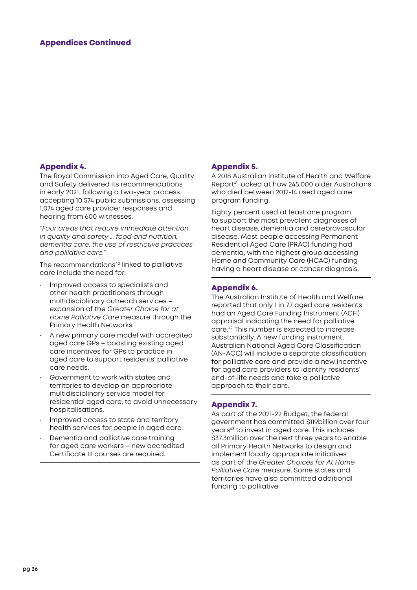#### Appendix 4.

The Royal Commission into Aged Care, Quality and Safety delivered its recommendations in early 2021, following a two-year process accepting 10,574 public submissions, assessing 1,074 aged care provider responses and hearing from 600 witnesses.

*"Four areas that require immediate attention in quality and safety ... food and nutrition, dementia care, the use of restrictive practices and palliative care."*

The recommendations<sup>40</sup> linked to palliative care include the need for:

- Improved access to specialists and other health practitioners through multidisciplinary outreach services – expansion of the *Greater Choice for at Home Palliative Care* measure through the Primary Health Networks.
- A new primary care model with accredited aged care GPs – boosting existing aged care incentives for GPs to practice in aged care to support residents' palliative care needs.
- Government to work with states and territories to develop an appropriate multidisciplinary service model for residential aged care, to avoid unnecessary hospitalisations.
- Improved access to state and territory health services for people in aged care.
- Dementia and palliative care training for aged care workers – new accredited Certificate III courses are required.

#### Appendix 5.

A 2018 Australian Institute of Health and Welfare Report<sup>41</sup> looked at how 245,000 older Australians who died between 2012-14 used aged care program funding.

Eighty percent used at least one program to support the most prevalent diagnoses of heart disease, dementia and cerebrovascular disease. Most people accessing Permanent Residential Aged Care (PRAC) funding had dementia, with the highest group accessing Home and Community Care (HCAC) funding having a heart disease or cancer diagnosis.

#### Appendix 6.

The Australian Institute of Health and Welfare reported that only 1 in 77 aged care residents had an Aged Care Funding Instrument (ACFI) appraisal indicating the need for palliative care.42 This number is expected to increase substantially. A new funding instrument, Australian National Aged Care Classification (AN-ACC) will include a separate classification for palliative care and provide a new incentive for aged care providers to identify residents' end-of-life needs and take a palliative approach to their care.

#### Appendix 7.

As part of the 2021-22 Budget, the federal government has committed \$119billion over four years43 to invest in aged care. This includes \$37.3million over the next three years to enable all Primary Health Networks to design and implement locally appropriate initiatives as part of the *Greater Choices for At Home Palliative Care* measure. Some states and territories have also committed additional funding to palliative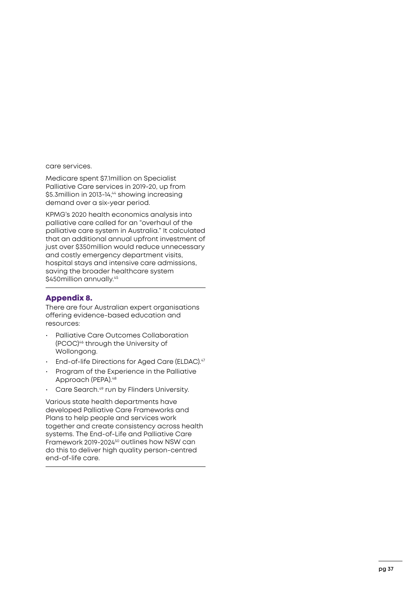care services.

Medicare spent \$7.1million on Specialist Palliative Care services in 2019-20, up from \$5.3million in 2013-14,<sup>44</sup> showing increasing demand over a six-year period.

KPMG's 2020 health economics analysis into palliative care called for an "overhaul of the palliative care system in Australia." It calculated that an additional annual upfront investment of just over \$350million would reduce unnecessary and costly emergency department visits, hospital stays and intensive care admissions, saving the broader healthcare system \$450million annually.<sup>45</sup>

#### Appendix 8.

There are four Australian expert organisations offering evidence-based education and resources:

- Palliative Care Outcomes Collaboration (PCOC)46 through the University of Wollongong.
- End-of-life Directions for Aged Care (ELDAC).<sup>47</sup>
- Program of the Experience in the Palliative Approach (PEPA).<sup>48</sup>
- Care Search.<sup>49</sup> run by Flinders University.

Various state health departments have developed Palliative Care Frameworks and Plans to help people and services work together and create consistency across health systems. The End-of-Life and Palliative Care Framework 2019-2024<sup>50</sup> outlines how NSW can do this to deliver high quality person-centred end-of-life care.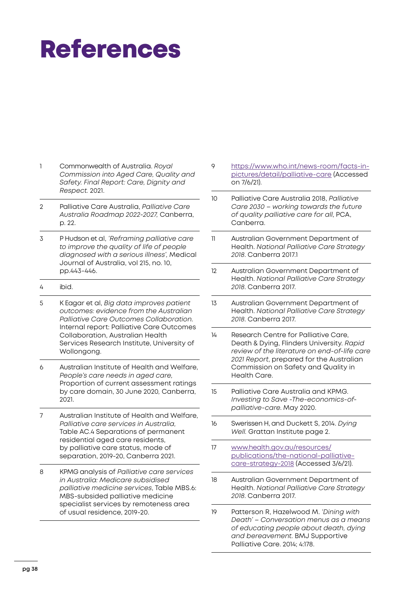# <span id="page-37-0"></span>References

- 1 Commonwealth of Australia. *Royal Commission into Aged Care, Quality and Safety. Final Report: Care, Dignity and Respect.* 2021.
- 2 Palliative Care Australia, *Palliative Care Australia Roadmap 2022-2027,* Canberra, p. 22.
- 3 P Hudson et al, *'Reframing palliative care to improve the quality of life of people diagnosed with a serious illness',* Medical Journal of Australia, vol 215, no. 10, pp.443-446.
- 4 ibid.
- 5 K Eagar et al, *Big data improves patient outcomes: evidence from the Australian Palliative Care Outcomes Collaboration*. Internal report: Palliative Care Outcomes Collaboration, Australian Health Services Research Institute, University of Wollongong.
- 6 Australian Institute of Health and Welfare, *People's care needs in aged care,*  Proportion of current assessment ratings by care domain, 30 June 2020*,* Canberra, 2021.
- 7 Australian Institute of Health and Welfare, *Palliative care services in Australia,* Table AC.4 Separations of permanent residential aged care residents, by palliative care status, mode of separation, 2019-20, Canberra 2021.
- 8 KPMG analysis of *Palliative care services in Australia: Medicare subsidised palliative medicine services*, Table MBS.6: MBS-subsided palliative medicine specialist services by remoteness area of usual residence, 2019-20.
- 9 [https://www.who.int/news-room/facts-in](https://www.who.int/news-room/facts-in-pictures/detail/palliative-care)[pictures/detail/palliative-care](https://www.who.int/news-room/facts-in-pictures/detail/palliative-care) (Accessed on 7/6/21).
- 10 Palliative Care Australia 2018, *Palliative Care 2030 – working towards the future of quality palliative care for all*, PCA, Canberra.
- 11 Australian Government Department of Health. *National Palliative Care Strategy 2018*. Canberra 2017.1
- 12 Australian Government Department of Health. *National Palliative Care Strategy 2018*. Canberra 2017.
- 13 Australian Government Department of Health. *National Palliative Care Strategy 2018*. Canberra 2017.
- 14 Research Centre for Palliative Care, Death & Dying, Flinders University. *Rapid review of the literature on end-of-life care 2021 Report*, prepared for the Australian Commission on Safety and Quality in Health Care.
- 15 Palliative Care Australia and KPMG. *Investing to Save -The-economics-ofpalliative-care*. May 2020.
- 16 Swerissen H, and Duckett S, 2014. *Dying Well.* Grattan Institute page 2.
- 17 [www.health.gov.au/resources/](http://www.health.gov.au/resources/publications/the-national-palliative-care-strategy-2018) [publications/the-national-palliative](http://www.health.gov.au/resources/publications/the-national-palliative-care-strategy-2018)[care-strategy-2018](http://www.health.gov.au/resources/publications/the-national-palliative-care-strategy-2018) (Accessed 3/6/21).
- 18 Australian Government Department of Health. *National Palliative Care Strategy 2018*. Canberra 2017.
- 19 Patterson R, Hazelwood M. *'Dining with Death' – Conversation menus as a means of educating people about death, dying and bereavement*. BMJ Supportive Palliative Care. 2014; 4:178.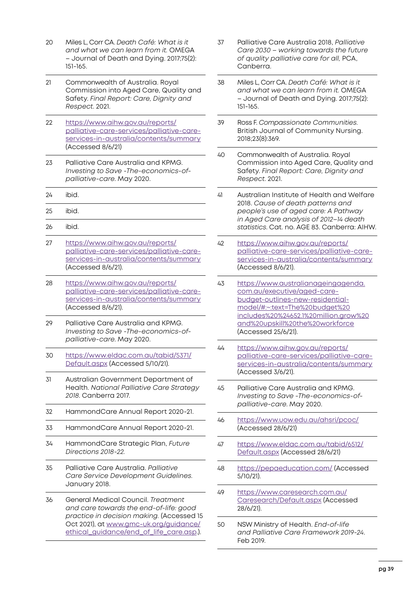- 20 Miles L, Corr CA. *Death Café: What is it and what we can learn from it.* OMEGA – Journal of Death and Dying. 2017;75(2): 151-165.
- 21 Commonwealth of Australia. Royal Commission into Aged Care, Quality and Safety. *Final Report: Care, Dignity and Respect*. 2021.
- 22 [https://www.aihw.gov.au/reports/](https://www.aihw.gov.au/reports/palliative-care-services/palliative-care-services-in-australia/contents/summary) [palliative-care-services/palliative-care](https://www.aihw.gov.au/reports/palliative-care-services/palliative-care-services-in-australia/contents/summary)[services-in-australia/contents/summary](https://www.aihw.gov.au/reports/palliative-care-services/palliative-care-services-in-australia/contents/summary) (Accessed 8/6/21)
- 23 Palliative Care Australia and KPMG. *Investing to Save -The-economics-ofpalliative-care*. May 2020.
- 24 ibid.
- 25 ibid.
- 26 ibid.
- 27 [https://www.aihw.gov.au/reports/](https://www.aihw.gov.au/reports/palliative-care-services/palliative-care-services-in-australia/contents/summary) [palliative-care-services/palliative-care](https://www.aihw.gov.au/reports/palliative-care-services/palliative-care-services-in-australia/contents/summary)[services-in-australia/contents/summary](https://www.aihw.gov.au/reports/palliative-care-services/palliative-care-services-in-australia/contents/summary) (Accessed 8/6/21).
- 28 [https://www.aihw.gov.au/reports/](https://www.aihw.gov.au/reports/palliative-care-services/palliative-care-services-in-australia/contents/summary ) [palliative-care-services/palliative-care](https://www.aihw.gov.au/reports/palliative-care-services/palliative-care-services-in-australia/contents/summary )[services-in-australia/contents/summary](https://www.aihw.gov.au/reports/palliative-care-services/palliative-care-services-in-australia/contents/summary ) (Accessed 8/6/21).
- 29 Palliative Care Australia and KPMG. *Investing to Save -The-economics-ofpalliative-care*. May 2020.
- 30 [https://www.eldac.com.au/tabid/5371/](https://www.eldac.com.au/tabid/5371/Default.aspx) [Default.aspx](https://www.eldac.com.au/tabid/5371/Default.aspx) (Accessed 5/10/21).
- 31 Australian Government Department of Health. *National Palliative Care Strategy 2018*. Canberra 2017.
- 32 HammondCare Annual Report 2020-21.
- 33 HammondCare Annual Report 2020-21.
- 34 HammondCare Strategic Plan, *Future Directions 2018-22.*
- 35 Palliative Care Australia. *Palliative Care Service Development Guidelines.* January 2018.
- 36 General Medical Council. *Treatment and care towards the end-of-life: good practice in decision making.* (Accessed 15 Oct 2021), at [www.gmc-uk.org/guidance/](http://www.gmc-uk.org/guidance/ethical_guidance/end_of_life_care.asp.)) ethical guidance/end of life care.asp.).
- 37 Palliative Care Australia 2018, *Palliative Care 2030 – working towards the future of quality palliative care for all,* PCA, Canberra.
- 38 Miles L, Corr CA. *Death Café: What is it and what we can learn from it.* OMEGA – Journal of Death and Dying. 2017;75(2): 151-165.
- 39 Ross F. *Compassionate Communities.* British Journal of Community Nursing. 2018;23(8):369.
- 40 Commonwealth of Australia. Royal Commission into Aged Care, Quality and Safety. *Final Report: Care, Dignity and Respect*. 2021.
- 41 Australian Institute of Health and Welfare 2018. *Cause of death patterns and people's use of aged care: A Pathway in Aged Care analysis of 2012–14 death statistics*. Cat. no. AGE 83. Canberra: AIHW.
- 42 [https://www.aihw.gov.au/reports/](https://www.aihw.gov.au/reports/palliative-care-services/palliative-care-services-in-australia/contents/summary ) [palliative-care-services/palliative-care](https://www.aihw.gov.au/reports/palliative-care-services/palliative-care-services-in-australia/contents/summary )[services-in-australia/contents/summary](https://www.aihw.gov.au/reports/palliative-care-services/palliative-care-services-in-australia/contents/summary ) (Accessed 8/6/21).
- 43 [https://www.australianageingagenda.](https://www.australianageingagenda.com.au/executive/aged-care-budget-outlines-new-residential-model/#:~:text=The%20budget%20includes%20%24652.1%20million,grow%20and%20upskill%20the%20workforce) [com.au/executive/aged-care](https://www.australianageingagenda.com.au/executive/aged-care-budget-outlines-new-residential-model/#:~:text=The%20budget%20includes%20%24652.1%20million,grow%20and%20upskill%20the%20workforce)[budget-outlines-new-residential](https://www.australianageingagenda.com.au/executive/aged-care-budget-outlines-new-residential-model/#:~:text=The%20budget%20includes%20%24652.1%20million,grow%20and%20upskill%20the%20workforce)[model/#:~:text=The%20budget%20](https://www.australianageingagenda.com.au/executive/aged-care-budget-outlines-new-residential-model/#:~:text=The%20budget%20includes%20%24652.1%20million,grow%20and%20upskill%20the%20workforce) [includes%20%24652.1%20million,grow%20](https://www.australianageingagenda.com.au/executive/aged-care-budget-outlines-new-residential-model/#:~:text=The%20budget%20includes%20%24652.1%20million,grow%20and%20upskill%20the%20workforce) [and%20upskill%20the%20workforce](https://www.australianageingagenda.com.au/executive/aged-care-budget-outlines-new-residential-model/#:~:text=The%20budget%20includes%20%24652.1%20million,grow%20and%20upskill%20the%20workforce) (Accessed 25/6/21).
- 44 [https://www.aihw.gov.au/reports/](https://www.aihw.gov.au/reports/palliative-care-services/palliative-care-services-in-australia/contents/summary ) [palliative-care-services/palliative-care](https://www.aihw.gov.au/reports/palliative-care-services/palliative-care-services-in-australia/contents/summary )[services-in-australia/contents/summary](https://www.aihw.gov.au/reports/palliative-care-services/palliative-care-services-in-australia/contents/summary ) (Accessed 3/6/21).
- 45 Palliative Care Australia and KPMG. *Investing to Save -The-economics-ofpalliative-care*. May 2020.
- 46 <https://www.uow.edu.au/ahsri/pcoc/> (Accessed 28/6/21)
- 47 [https://www.eldac.com.au/tabid/6512/](https://www.eldac.com.au/tabid/6512/Default.aspx) [Default.aspx](https://www.eldac.com.au/tabid/6512/Default.aspx) (Accessed 28/6/21)
- 48 <https://pepaeducation.com/>(Accessed 5/10/21).
- 49 [https://www.caresearch.com.au/](https://www.caresearch.com.au/Caresearch/Default.aspx) [Caresearch/Default.aspx](https://www.caresearch.com.au/Caresearch/Default.aspx) (Accessed 28/6/21).
- 50 NSW Ministry of Health. *End-of-life and Palliative Care Framework 2019-24*. Feb 2019.